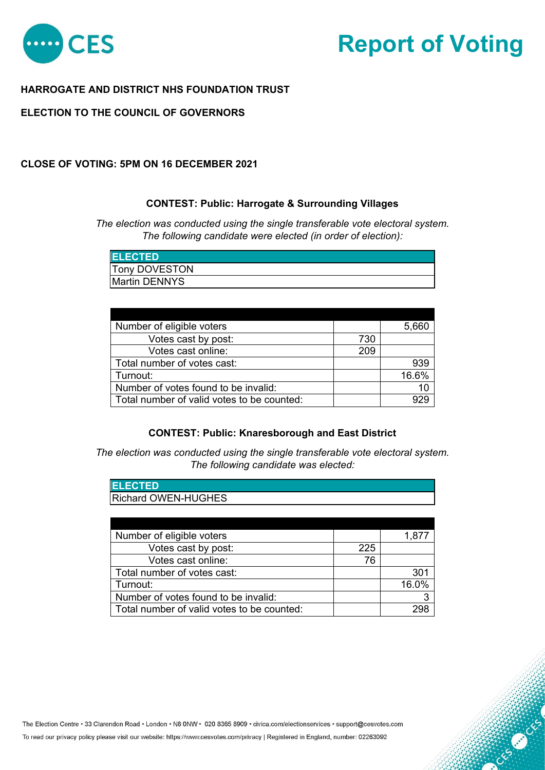

# **Report of Voting**

## **HARROGATE AND DISTRICT NHS FOUNDATION TRUST**

### **ELECTION TO THE COUNCIL OF GOVERNORS**

#### **CLOSE OF VOTING: 5PM ON 16 DECEMBER 2021**

**ELECTED**

#### **CONTEST: Public: Harrogate & Surrounding Villages**

*The election was conducted using the single transferable vote electoral system. The following candidate were elected (in order of election):*

| <b>ELECTED</b>       |  |
|----------------------|--|
| <b>Tony DOVESTON</b> |  |
| <b>Martin DENNYS</b> |  |

| Number of eligible voters                  |     | 5,660 |
|--------------------------------------------|-----|-------|
| Votes cast by post:                        | 730 |       |
| Votes cast online:                         | 209 |       |
| Total number of votes cast:                |     | 939   |
| Turnout:                                   |     | 16.6% |
| Number of votes found to be invalid:       |     | 10    |
| Total number of valid votes to be counted: |     |       |

#### **CONTEST: Public: Knaresborough and East District**

*The election was conducted using the single transferable vote electoral system. The following candidate was elected:*

| <b>Richard OWEN-HUGHES</b>                 |     |       |
|--------------------------------------------|-----|-------|
|                                            |     |       |
|                                            |     |       |
| Number of eligible voters                  |     | 1.877 |
| Votes cast by post:                        | 225 |       |
| Votes cast online:                         | 76  |       |
| Total number of votes cast:                |     | 301   |
| Turnout:                                   |     | 16.0% |
| Number of votes found to be invalid:       |     | 3     |
| Total number of valid votes to be counted: |     | 298   |

The Election Centre · 33 Clarendon Road · London · N8 0NW · 020 8365 8909 · civica.com/electionservices · support@cesvotes.com

To read our privacy policy please visit our website: https://www.cesvotes.com/privacy | Registered in England, number: 02263092